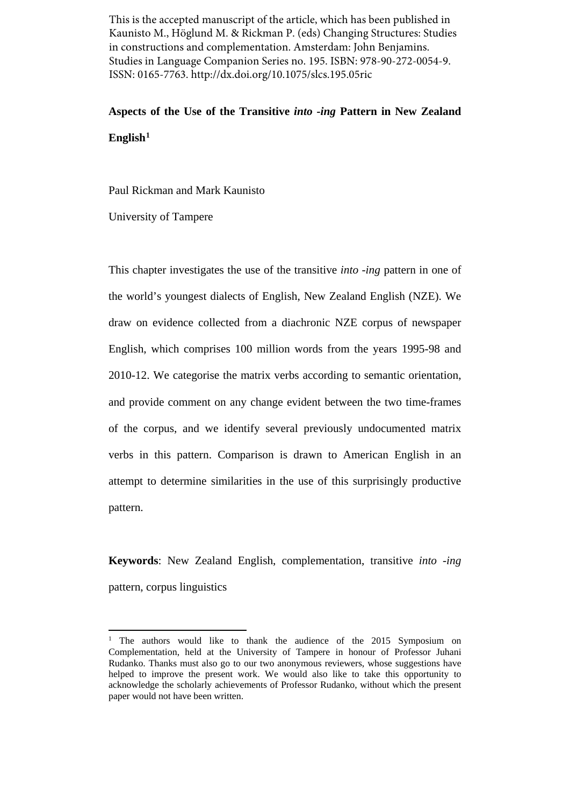This is the accepted manuscript of the article, which has been published in Kaunisto M., Höglund M. & Rickman P. (eds) Changing Structures: Studies in constructions and complementation. Amsterdam: John Benjamins. Studies in Language Companion Series no. 195. ISBN: 978-90-272-0054-9. ISSN: 0165-7763. http://dx.doi.org/10.1075/slcs.195.05ric

# **Aspects of the Use of the Transitive** *into -ing* **Pattern in New Zealand English[1](#page-0-0)**

Paul Rickman and Mark Kaunisto

University of Tampere

This chapter investigates the use of the transitive *into -ing* pattern in one of the world's youngest dialects of English, New Zealand English (NZE). We draw on evidence collected from a diachronic NZE corpus of newspaper English, which comprises 100 million words from the years 1995-98 and 2010-12. We categorise the matrix verbs according to semantic orientation, and provide comment on any change evident between the two time-frames of the corpus, and we identify several previously undocumented matrix verbs in this pattern. Comparison is drawn to American English in an attempt to determine similarities in the use of this surprisingly productive pattern.

**Keywords**: New Zealand English, complementation, transitive *into -ing*  pattern, corpus linguistics

<span id="page-0-0"></span><sup>&</sup>lt;sup>1</sup> The authors would like to thank the audience of the 2015 Symposium on Complementation, held at the University of Tampere in honour of Professor Juhani Rudanko. Thanks must also go to our two anonymous reviewers, whose suggestions have helped to improve the present work. We would also like to take this opportunity to acknowledge the scholarly achievements of Professor Rudanko, without which the present paper would not have been written.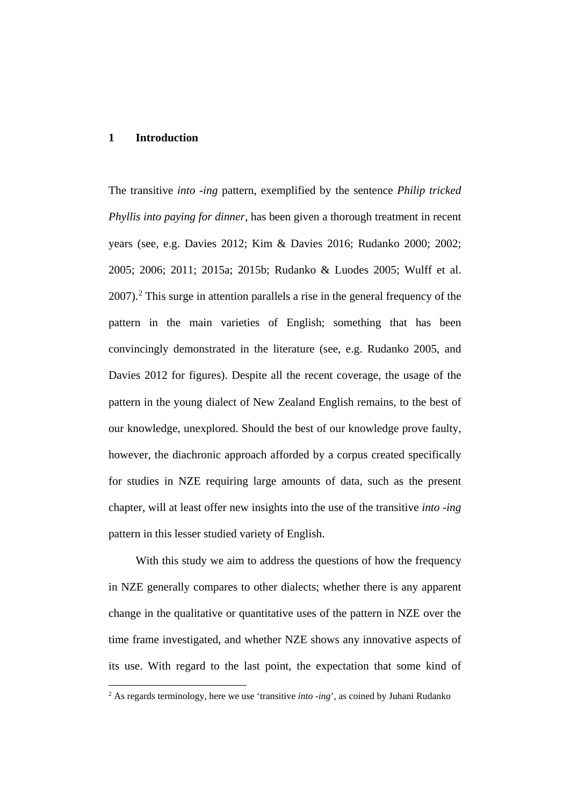#### **1 Introduction**

The transitive *into -ing* pattern, exemplified by the sentence *Philip tricked Phyllis into paying for dinner*, has been given a thorough treatment in recent years (see, e.g. Davies 2012; Kim & Davies 2016; Rudanko 2000; 2002; 2005; 2006; 2011; 2015a; 2015b; Rudanko & Luodes 2005; Wulff et al.  $2007$  $2007$ ).<sup>2</sup> This surge in attention parallels a rise in the general frequency of the pattern in the main varieties of English; something that has been convincingly demonstrated in the literature (see, e.g. Rudanko 2005, and Davies 2012 for figures). Despite all the recent coverage, the usage of the pattern in the young dialect of New Zealand English remains, to the best of our knowledge, unexplored. Should the best of our knowledge prove faulty, however, the diachronic approach afforded by a corpus created specifically for studies in NZE requiring large amounts of data, such as the present chapter, will at least offer new insights into the use of the transitive *into -ing*  pattern in this lesser studied variety of English.

With this study we aim to address the questions of how the frequency in NZE generally compares to other dialects; whether there is any apparent change in the qualitative or quantitative uses of the pattern in NZE over the time frame investigated, and whether NZE shows any innovative aspects of its use. With regard to the last point, the expectation that some kind of

<span id="page-1-0"></span><sup>2</sup> As regards terminology, here we use 'transitive *into -ing*', as coined by Juhani Rudanko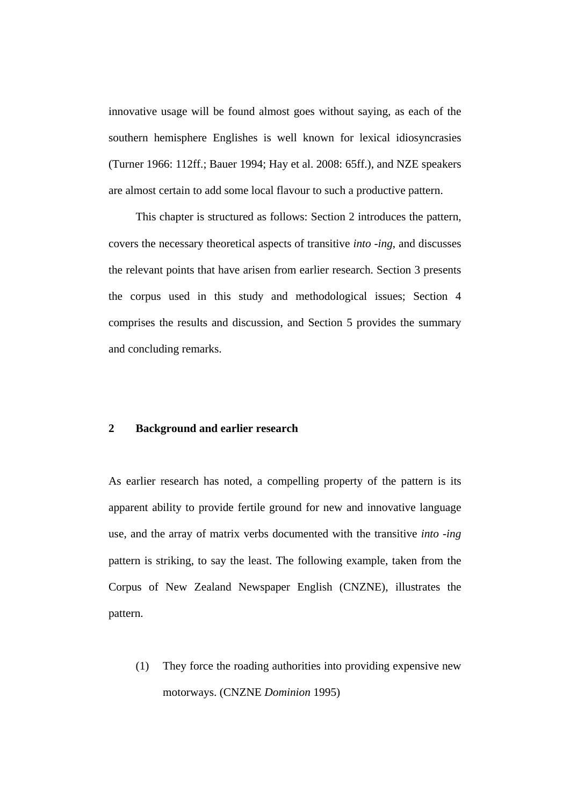innovative usage will be found almost goes without saying, as each of the southern hemisphere Englishes is well known for lexical idiosyncrasies (Turner 1966: 112ff.; Bauer 1994; Hay et al. 2008: 65ff.), and NZE speakers are almost certain to add some local flavour to such a productive pattern.

This chapter is structured as follows: Section 2 introduces the pattern, covers the necessary theoretical aspects of transitive *into -ing*, and discusses the relevant points that have arisen from earlier research. Section 3 presents the corpus used in this study and methodological issues; Section 4 comprises the results and discussion, and Section 5 provides the summary and concluding remarks.

### **2 Background and earlier research**

As earlier research has noted, a compelling property of the pattern is its apparent ability to provide fertile ground for new and innovative language use, and the array of matrix verbs documented with the transitive *into -ing*  pattern is striking, to say the least. The following example, taken from the Corpus of New Zealand Newspaper English (CNZNE), illustrates the pattern.

(1) They force the roading authorities into providing expensive new motorways. (CNZNE *Dominion* 1995)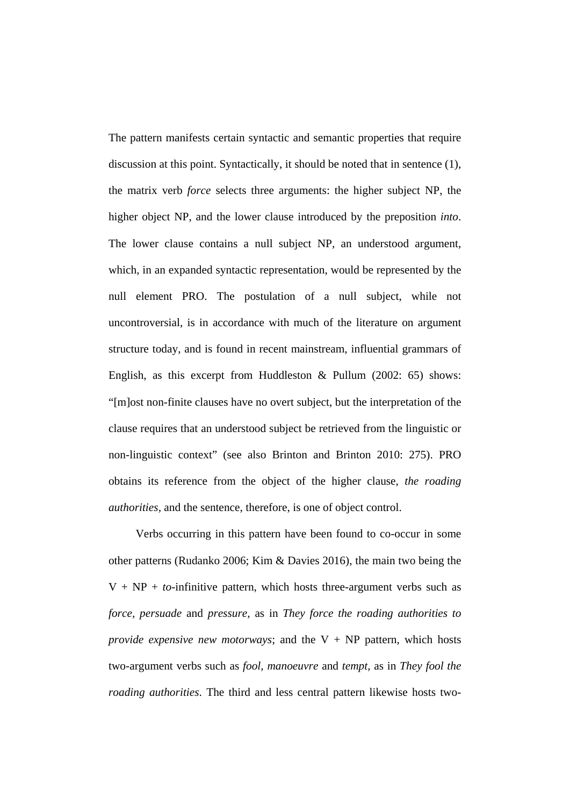The pattern manifests certain syntactic and semantic properties that require discussion at this point. Syntactically, it should be noted that in sentence (1), the matrix verb *force* selects three arguments: the higher subject NP, the higher object NP, and the lower clause introduced by the preposition *into*. The lower clause contains a null subject NP, an understood argument, which, in an expanded syntactic representation, would be represented by the null element PRO. The postulation of a null subject, while not uncontroversial, is in accordance with much of the literature on argument structure today, and is found in recent mainstream, influential grammars of English, as this excerpt from Huddleston & Pullum (2002: 65) shows: "[m]ost non-finite clauses have no overt subject, but the interpretation of the clause requires that an understood subject be retrieved from the linguistic or non-linguistic context" (see also Brinton and Brinton 2010: 275). PRO obtains its reference from the object of the higher clause, *the roading authorities,* and the sentence, therefore, is one of object control.

Verbs occurring in this pattern have been found to co-occur in some other patterns (Rudanko 2006; Kim & Davies 2016), the main two being the  $V + NP + to$ -infinitive pattern, which hosts three-argument verbs such as *force, persuade* and *pressure,* as in *They force the roading authorities to provide expensive new motorways*; and the  $V + NP$  pattern, which hosts two-argument verbs such as *fool, manoeuvre* and *tempt*, as in *They fool the roading authorities*. The third and less central pattern likewise hosts two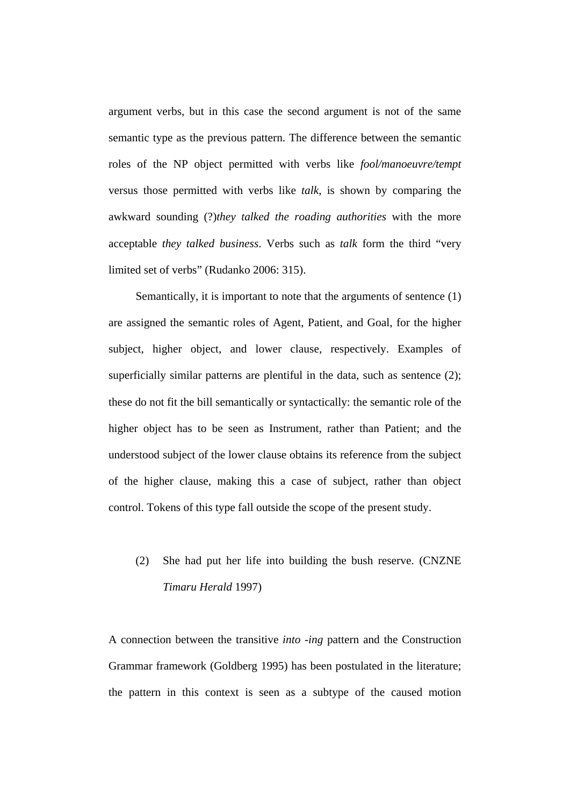argument verbs, but in this case the second argument is not of the same semantic type as the previous pattern. The difference between the semantic roles of the NP object permitted with verbs like *fool/manoeuvre/tempt*  versus those permitted with verbs like *talk*, is shown by comparing the awkward sounding (?)*they talked the roading authorities* with the more acceptable *they talked business*. Verbs such as *talk* form the third "very limited set of verbs" (Rudanko 2006: 315).

Semantically, it is important to note that the arguments of sentence (1) are assigned the semantic roles of Agent, Patient, and Goal, for the higher subject, higher object, and lower clause, respectively. Examples of superficially similar patterns are plentiful in the data, such as sentence (2); these do not fit the bill semantically or syntactically: the semantic role of the higher object has to be seen as Instrument, rather than Patient; and the understood subject of the lower clause obtains its reference from the subject of the higher clause, making this a case of subject, rather than object control. Tokens of this type fall outside the scope of the present study.

# (2) She had put her life into building the bush reserve. (CNZNE *Timaru Herald* 1997)

A connection between the transitive *into -ing* pattern and the Construction Grammar framework (Goldberg 1995) has been postulated in the literature; the pattern in this context is seen as a subtype of the caused motion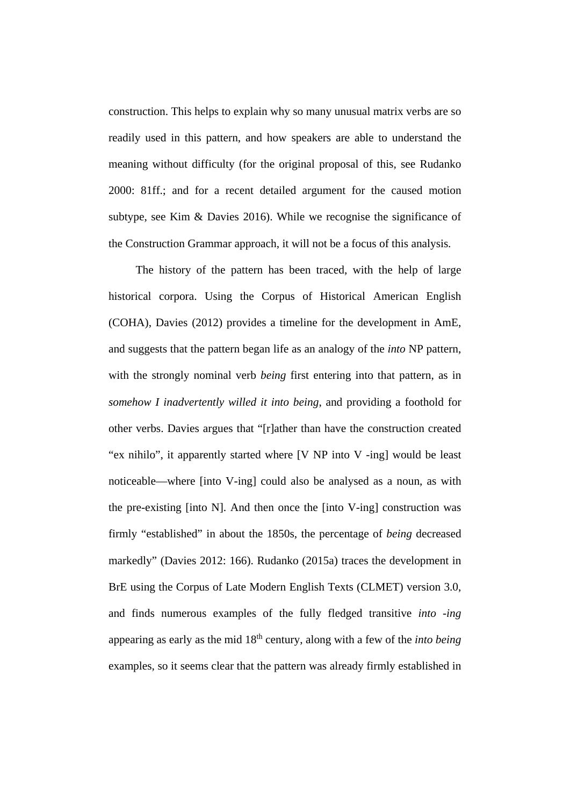construction. This helps to explain why so many unusual matrix verbs are so readily used in this pattern, and how speakers are able to understand the meaning without difficulty (for the original proposal of this, see Rudanko 2000: 81ff.; and for a recent detailed argument for the caused motion subtype, see Kim & Davies 2016). While we recognise the significance of the Construction Grammar approach, it will not be a focus of this analysis.

The history of the pattern has been traced, with the help of large historical corpora. Using the Corpus of Historical American English (COHA), Davies (2012) provides a timeline for the development in AmE, and suggests that the pattern began life as an analogy of the *into* NP pattern, with the strongly nominal verb *being* first entering into that pattern, as in *somehow I inadvertently willed it into being*, and providing a foothold for other verbs. Davies argues that "[r]ather than have the construction created "ex nihilo", it apparently started where [V NP into V -ing] would be least noticeable—where [into V-ing] could also be analysed as a noun, as with the pre-existing [into N]. And then once the [into V-ing] construction was firmly "established" in about the 1850s, the percentage of *being* decreased markedly" (Davies 2012: 166). Rudanko (2015a) traces the development in BrE using the Corpus of Late Modern English Texts (CLMET) version 3.0, and finds numerous examples of the fully fledged transitive *into -ing*  appearing as early as the mid 18th century, along with a few of the *into being*  examples, so it seems clear that the pattern was already firmly established in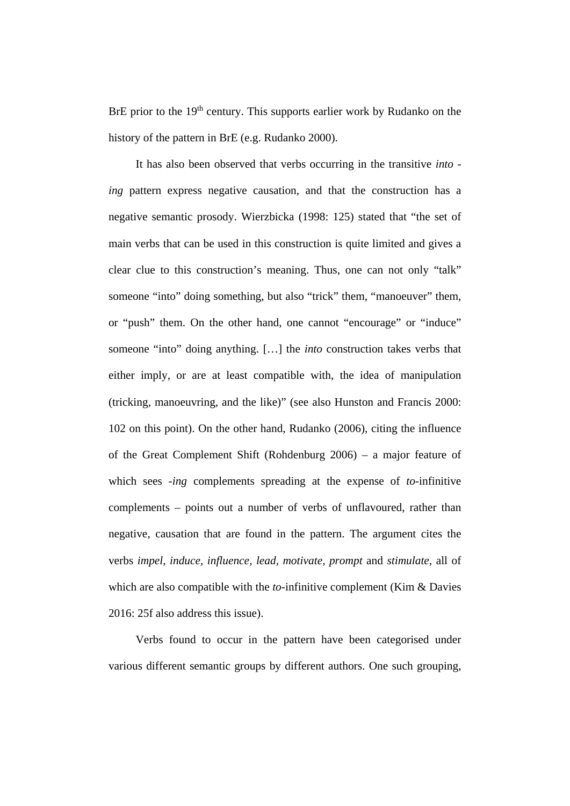BrE prior to the  $19<sup>th</sup>$  century. This supports earlier work by Rudanko on the history of the pattern in BrE (e.g. Rudanko 2000).

It has also been observed that verbs occurring in the transitive *into ing* pattern express negative causation, and that the construction has a negative semantic prosody. Wierzbicka (1998: 125) stated that "the set of main verbs that can be used in this construction is quite limited and gives a clear clue to this construction's meaning. Thus, one can not only "talk" someone "into" doing something, but also "trick" them, "manoeuver" them, or "push" them. On the other hand, one cannot "encourage" or "induce" someone "into" doing anything. […] the *into* construction takes verbs that either imply, or are at least compatible with, the idea of manipulation (tricking, manoeuvring, and the like)" (see also Hunston and Francis 2000: 102 on this point). On the other hand, Rudanko (2006), citing the influence of the Great Complement Shift (Rohdenburg 2006) – a major feature of which sees *-ing* complements spreading at the expense of *to-*infinitive complements – points out a number of verbs of unflavoured, rather than negative, causation that are found in the pattern. The argument cites the verbs *impel, induce, influence, lead, motivate, prompt* and *stimulate*, all of which are also compatible with the *to-*infinitive complement (Kim & Davies 2016: 25f also address this issue).

Verbs found to occur in the pattern have been categorised under various different semantic groups by different authors. One such grouping,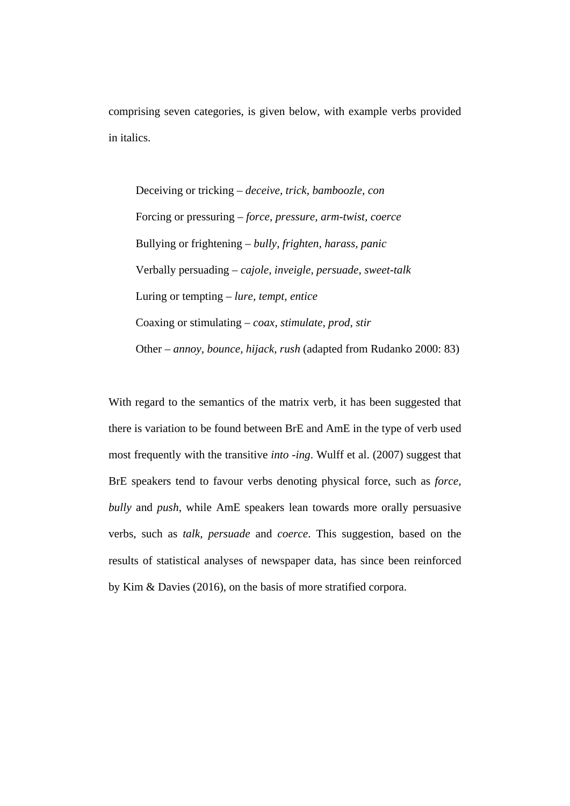comprising seven categories, is given below, with example verbs provided in italics.

Deceiving or tricking – *deceive, trick, bamboozle, con* Forcing or pressuring – *force, pressure, arm-twist, coerce* Bullying or frightening – *bully, frighten, harass, panic* Verbally persuading – *cajole, inveigle, persuade, sweet-talk* Luring or tempting – *lure, tempt, entice* Coaxing or stimulating – *coax, stimulate, prod, stir* Other – *annoy, bounce, hijack, rush* (adapted from Rudanko 2000: 83)

With regard to the semantics of the matrix verb*,* it has been suggested that there is variation to be found between BrE and AmE in the type of verb used most frequently with the transitive *into -ing*. Wulff et al. (2007) suggest that BrE speakers tend to favour verbs denoting physical force, such as *force, bully* and *push*, while AmE speakers lean towards more orally persuasive verbs, such as *talk, persuade* and *coerce*. This suggestion, based on the results of statistical analyses of newspaper data, has since been reinforced by Kim & Davies (2016), on the basis of more stratified corpora.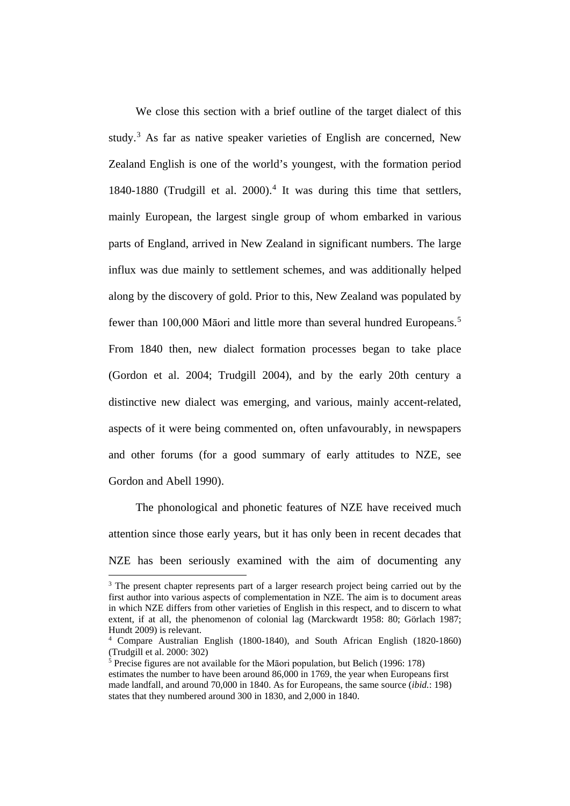We close this section with a brief outline of the target dialect of this study.<sup>[3](#page-8-0)</sup> As far as native speaker varieties of English are concerned, New Zealand English is one of the world's youngest, with the formation period 1840-1880 (Trudgill et al. 2000). [4](#page-8-1) It was during this time that settlers, mainly European, the largest single group of whom embarked in various parts of England, arrived in New Zealand in significant numbers. The large influx was due mainly to settlement schemes, and was additionally helped along by the discovery of gold. Prior to this, New Zealand was populated by fewer than 100,000 Māori and little more than several hundred Europeans.[5](#page-8-2) From 1840 then, new dialect formation processes began to take place (Gordon et al. 2004; Trudgill 2004), and by the early 20th century a distinctive new dialect was emerging, and various, mainly accent-related, aspects of it were being commented on, often unfavourably, in newspapers and other forums (for a good summary of early attitudes to NZE, see Gordon and Abell 1990).

The phonological and phonetic features of NZE have received much attention since those early years, but it has only been in recent decades that NZE has been seriously examined with the aim of documenting any

 $\overline{\phantom{a}}$ 

<span id="page-8-0"></span><sup>&</sup>lt;sup>3</sup> The present chapter represents part of a larger research project being carried out by the first author into various aspects of complementation in NZE. The aim is to document areas in which NZE differs from other varieties of English in this respect, and to discern to what extent, if at all, the phenomenon of colonial lag (Marckwardt 1958: 80; Görlach 1987; Hundt 2009) is relevant.

<span id="page-8-1"></span><sup>4</sup> Compare Australian English (1800-1840), and South African English (1820-1860) (Trudgill et al. 2000: 302)

<span id="page-8-2"></span><sup>5</sup> Precise figures are not available for the Māori population, but Belich (1996: 178) estimates the number to have been around 86,000 in 1769, the year when Europeans first made landfall, and around 70,000 in 1840. As for Europeans, the same source (*ibid.*: 198) states that they numbered around 300 in 1830, and 2,000 in 1840.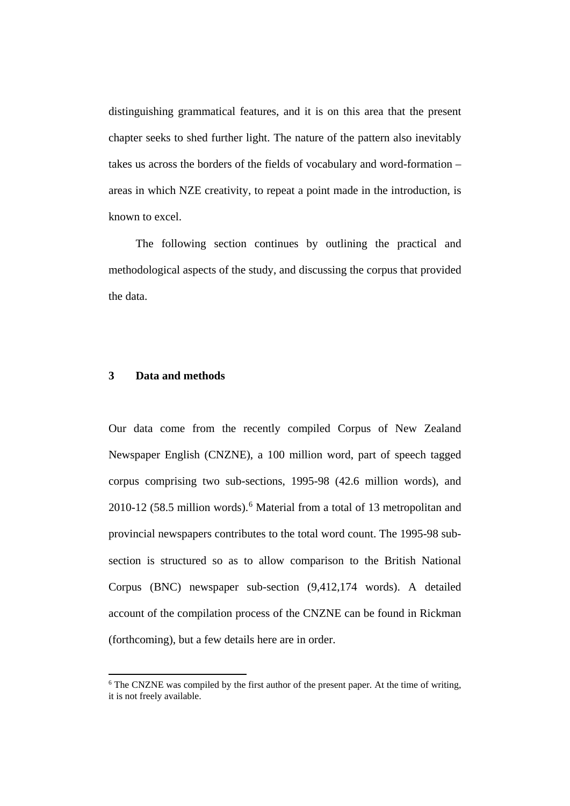distinguishing grammatical features, and it is on this area that the present chapter seeks to shed further light. The nature of the pattern also inevitably takes us across the borders of the fields of vocabulary and word-formation – areas in which NZE creativity, to repeat a point made in the introduction, is known to excel.

The following section continues by outlining the practical and methodological aspects of the study, and discussing the corpus that provided the data.

## **3 Data and methods**

 $\overline{\phantom{a}}$ 

Our data come from the recently compiled Corpus of New Zealand Newspaper English (CNZNE), a 100 million word, part of speech tagged corpus comprising two sub-sections, 1995-98 (42.6 million words), and 2010-12 (58.5 million words).[6](#page-9-0) Material from a total of 13 metropolitan and provincial newspapers contributes to the total word count. The 1995-98 subsection is structured so as to allow comparison to the British National Corpus (BNC) newspaper sub-section (9,412,174 words). A detailed account of the compilation process of the CNZNE can be found in Rickman (forthcoming), but a few details here are in order.

<span id="page-9-0"></span><sup>&</sup>lt;sup>6</sup> The CNZNE was compiled by the first author of the present paper. At the time of writing, it is not freely available.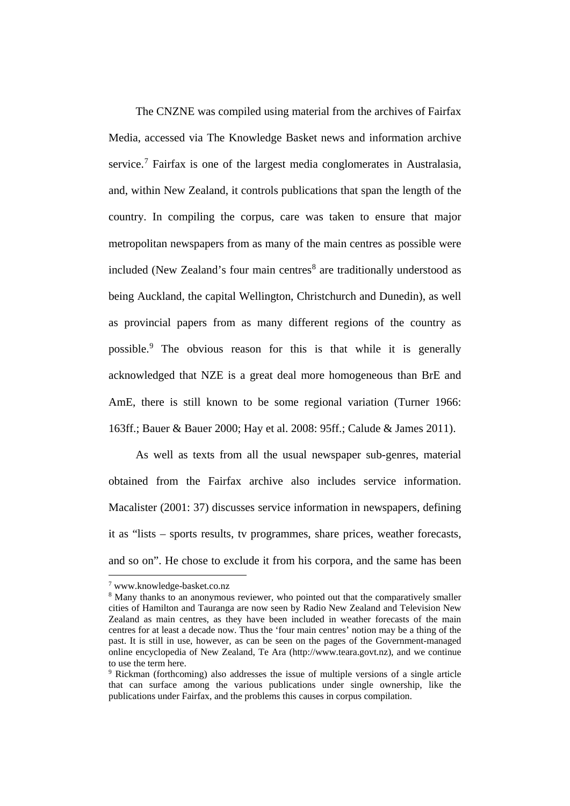The CNZNE was compiled using material from the archives of Fairfax Media, accessed via The Knowledge Basket news and information archive service. [7](#page-10-0) Fairfax is one of the largest media conglomerates in Australasia, and, within New Zealand, it controls publications that span the length of the country. In compiling the corpus, care was taken to ensure that major metropolitan newspapers from as many of the main centres as possible were included (New Zealand's four main centres<sup>[8](#page-10-1)</sup> are traditionally understood as being Auckland, the capital Wellington, Christchurch and Dunedin), as well as provincial papers from as many different regions of the country as possible.[9](#page-10-2) The obvious reason for this is that while it is generally acknowledged that NZE is a great deal more homogeneous than BrE and AmE, there is still known to be some regional variation (Turner 1966: 163ff.; Bauer & Bauer 2000; Hay et al. 2008: 95ff.; Calude & James 2011).

As well as texts from all the usual newspaper sub-genres, material obtained from the Fairfax archive also includes service information. Macalister (2001: 37) discusses service information in newspapers, defining it as "lists – sports results, tv programmes, share prices, weather forecasts, and so on". He chose to exclude it from his corpora, and the same has been

 $\overline{\phantom{a}}$ 

<span id="page-10-0"></span><sup>7</sup> www.knowledge-basket.co.nz

<span id="page-10-1"></span><sup>&</sup>lt;sup>8</sup> Many thanks to an anonymous reviewer, who pointed out that the comparatively smaller cities of Hamilton and Tauranga are now seen by Radio New Zealand and Television New Zealand as main centres, as they have been included in weather forecasts of the main centres for at least a decade now. Thus the 'four main centres' notion may be a thing of the past. It is still in use, however, as can be seen on the pages of the Government-managed online encyclopedia of New Zealand, Te Ara (http://www.teara.govt.nz), and we continue to use the term here.

<span id="page-10-2"></span><sup>9</sup> Rickman (forthcoming) also addresses the issue of multiple versions of a single article that can surface among the various publications under single ownership, like the publications under Fairfax, and the problems this causes in corpus compilation.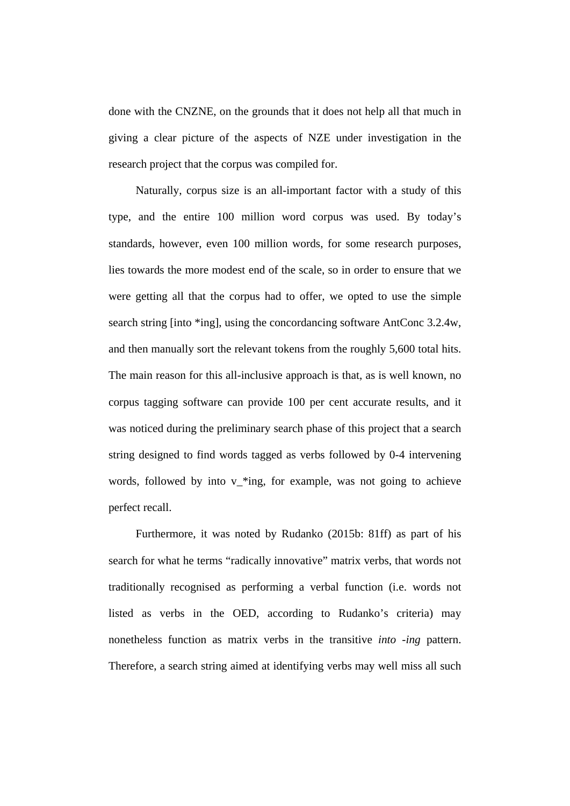done with the CNZNE, on the grounds that it does not help all that much in giving a clear picture of the aspects of NZE under investigation in the research project that the corpus was compiled for.

Naturally, corpus size is an all-important factor with a study of this type, and the entire 100 million word corpus was used. By today's standards, however, even 100 million words, for some research purposes, lies towards the more modest end of the scale, so in order to ensure that we were getting all that the corpus had to offer, we opted to use the simple search string [into \*ing], using the concordancing software AntConc 3.2.4w, and then manually sort the relevant tokens from the roughly 5,600 total hits. The main reason for this all-inclusive approach is that, as is well known, no corpus tagging software can provide 100 per cent accurate results, and it was noticed during the preliminary search phase of this project that a search string designed to find words tagged as verbs followed by 0-4 intervening words, followed by into v\_\*ing, for example, was not going to achieve perfect recall.

Furthermore, it was noted by Rudanko (2015b: 81ff) as part of his search for what he terms "radically innovative" matrix verbs, that words not traditionally recognised as performing a verbal function (i.e. words not listed as verbs in the OED, according to Rudanko's criteria) may nonetheless function as matrix verbs in the transitive *into -ing* pattern. Therefore, a search string aimed at identifying verbs may well miss all such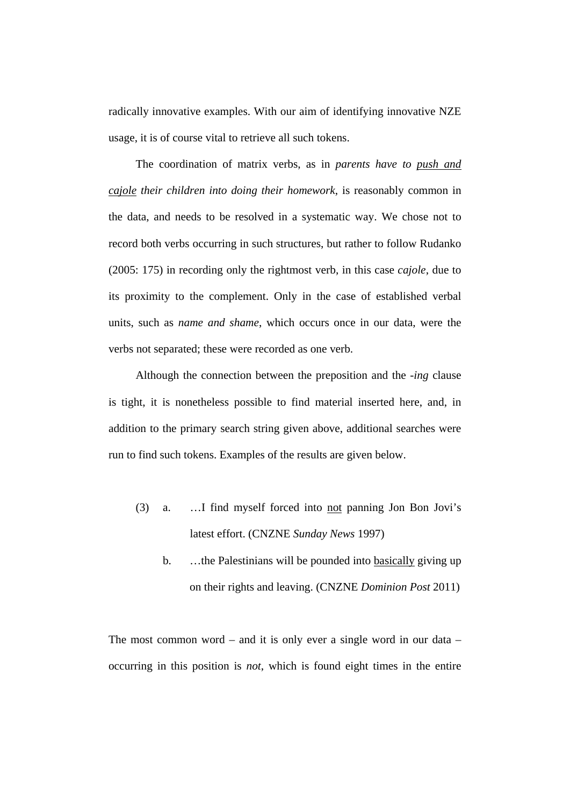radically innovative examples. With our aim of identifying innovative NZE usage, it is of course vital to retrieve all such tokens.

The coordination of matrix verbs, as in *parents have to push and cajole their children into doing their homework*, is reasonably common in the data, and needs to be resolved in a systematic way. We chose not to record both verbs occurring in such structures, but rather to follow Rudanko (2005: 175) in recording only the rightmost verb, in this case *cajole*, due to its proximity to the complement. Only in the case of established verbal units, such as *name and shame*, which occurs once in our data, were the verbs not separated; these were recorded as one verb.

Although the connection between the preposition and the *-ing* clause is tight, it is nonetheless possible to find material inserted here, and, in addition to the primary search string given above, additional searches were run to find such tokens. Examples of the results are given below.

- (3) a. …I find myself forced into not panning Jon Bon Jovi's latest effort. (CNZNE *Sunday News* 1997)
	- b. …the Palestinians will be pounded into basically giving up on their rights and leaving. (CNZNE *Dominion Post* 2011)

The most common word – and it is only ever a single word in our data – occurring in this position is *not*, which is found eight times in the entire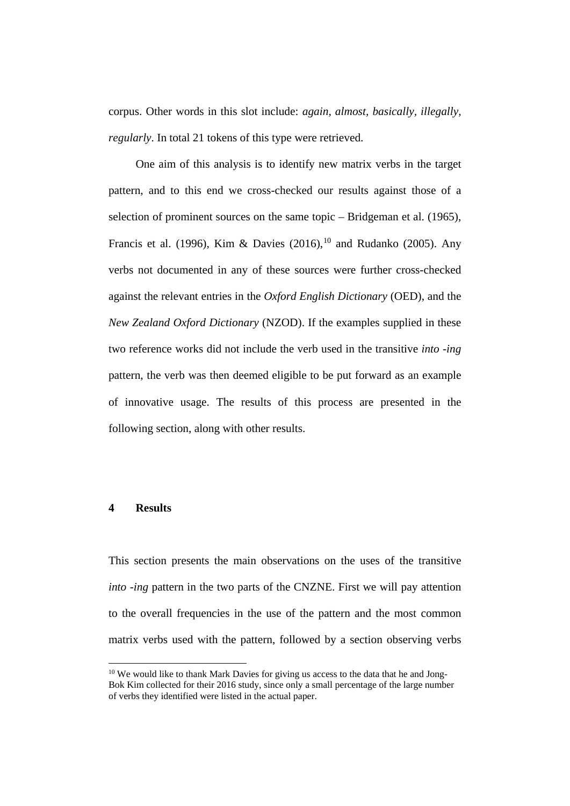corpus. Other words in this slot include: *again, almost, basically, illegally, regularly*. In total 21 tokens of this type were retrieved.

One aim of this analysis is to identify new matrix verbs in the target pattern, and to this end we cross-checked our results against those of a selection of prominent sources on the same topic – Bridgeman et al. (1965), Francis et al. (1996), Kim & Davies  $(2016)$ ,  $^{10}$  $^{10}$  $^{10}$  and Rudanko (2005). Any verbs not documented in any of these sources were further cross-checked against the relevant entries in the *Oxford English Dictionary* (OED), and the *New Zealand Oxford Dictionary* (NZOD). If the examples supplied in these two reference works did not include the verb used in the transitive *into -ing*  pattern, the verb was then deemed eligible to be put forward as an example of innovative usage. The results of this process are presented in the following section, along with other results.

#### **4 Results**

 $\overline{a}$ 

This section presents the main observations on the uses of the transitive *into -ing* pattern in the two parts of the CNZNE. First we will pay attention to the overall frequencies in the use of the pattern and the most common matrix verbs used with the pattern, followed by a section observing verbs

<span id="page-13-0"></span><sup>&</sup>lt;sup>10</sup> We would like to thank Mark Davies for giving us access to the data that he and Jong-Bok Kim collected for their 2016 study, since only a small percentage of the large number of verbs they identified were listed in the actual paper.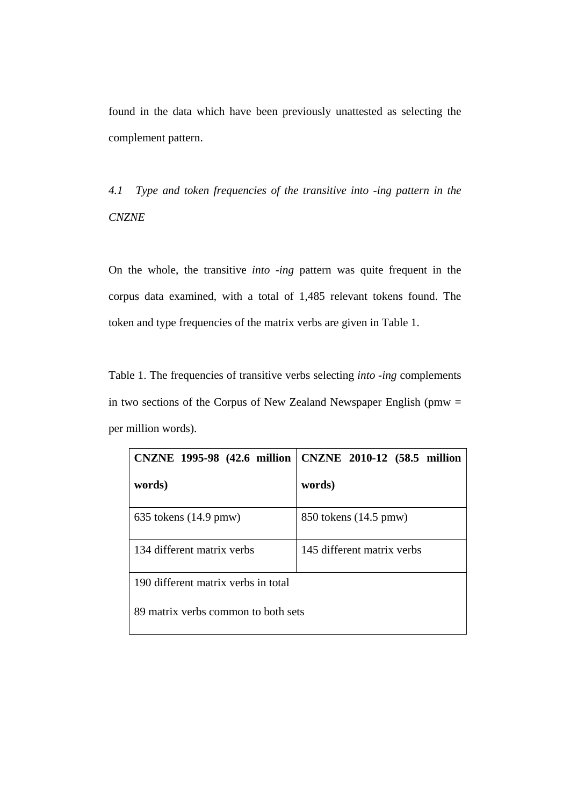found in the data which have been previously unattested as selecting the complement pattern.

*4.1 Type and token frequencies of the transitive into -ing pattern in the CNZNE*

On the whole, the transitive *into -ing* pattern was quite frequent in the corpus data examined, with a total of 1,485 relevant tokens found. The token and type frequencies of the matrix verbs are given in Table 1.

Table 1. The frequencies of transitive verbs selecting *into -ing* complements in two sections of the Corpus of New Zealand Newspaper English ( $pmw =$ per million words).

| CNZNE 1995-98 (42.6 million         | CNZNE 2010-12 (58.5 million |
|-------------------------------------|-----------------------------|
| words)                              | words)                      |
| $635$ tokens $(14.9 \text{ pmw})$   | 850 tokens (14.5 pmw)       |
| 134 different matrix verbs          | 145 different matrix verbs  |
| 190 different matrix verbs in total |                             |
| 89 matrix verbs common to both sets |                             |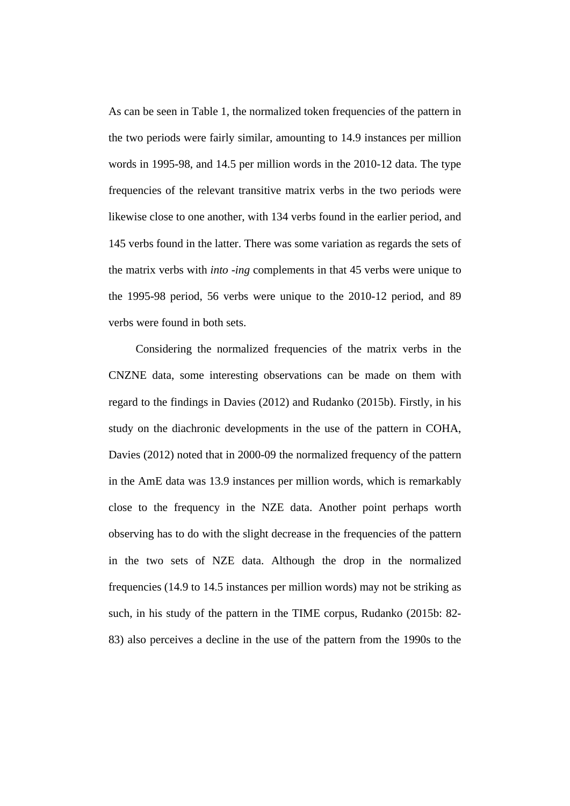As can be seen in Table 1, the normalized token frequencies of the pattern in the two periods were fairly similar, amounting to 14.9 instances per million words in 1995-98, and 14.5 per million words in the 2010-12 data. The type frequencies of the relevant transitive matrix verbs in the two periods were likewise close to one another, with 134 verbs found in the earlier period, and 145 verbs found in the latter. There was some variation as regards the sets of the matrix verbs with *into -ing* complements in that 45 verbs were unique to the 1995-98 period, 56 verbs were unique to the 2010-12 period, and 89 verbs were found in both sets.

Considering the normalized frequencies of the matrix verbs in the CNZNE data, some interesting observations can be made on them with regard to the findings in Davies (2012) and Rudanko (2015b). Firstly, in his study on the diachronic developments in the use of the pattern in COHA, Davies (2012) noted that in 2000-09 the normalized frequency of the pattern in the AmE data was 13.9 instances per million words, which is remarkably close to the frequency in the NZE data. Another point perhaps worth observing has to do with the slight decrease in the frequencies of the pattern in the two sets of NZE data. Although the drop in the normalized frequencies (14.9 to 14.5 instances per million words) may not be striking as such, in his study of the pattern in the TIME corpus, Rudanko (2015b: 82- 83) also perceives a decline in the use of the pattern from the 1990s to the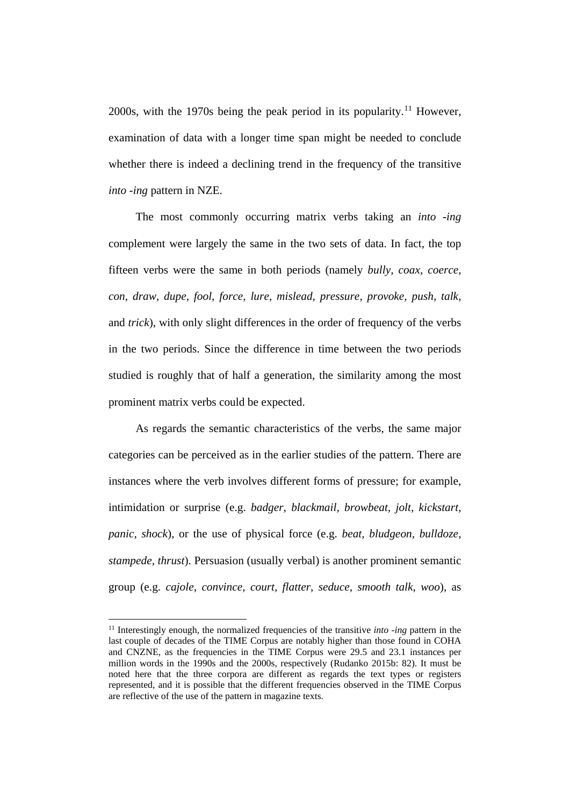2000s, with the 1970s being the peak period in its popularity.<sup>[11](#page-16-0)</sup> However, examination of data with a longer time span might be needed to conclude whether there is indeed a declining trend in the frequency of the transitive *into -ing* pattern in NZE.

The most commonly occurring matrix verbs taking an *into -ing* complement were largely the same in the two sets of data. In fact, the top fifteen verbs were the same in both periods (namely *bully, coax, coerce, con, draw, dupe, fool, force, lure, mislead, pressure, provoke, push, talk,*  and *trick*), with only slight differences in the order of frequency of the verbs in the two periods. Since the difference in time between the two periods studied is roughly that of half a generation, the similarity among the most prominent matrix verbs could be expected.

As regards the semantic characteristics of the verbs, the same major categories can be perceived as in the earlier studies of the pattern. There are instances where the verb involves different forms of pressure; for example, intimidation or surprise (e.g. *badger, blackmail, browbeat, jolt, kickstart, panic, shock*), or the use of physical force (e.g. *beat, bludgeon, bulldoze, stampede, thrust*). Persuasion (usually verbal) is another prominent semantic group (e.g. *cajole, convince, court, flatter, seduce, smooth talk, woo*), as

l

<span id="page-16-0"></span><sup>11</sup> Interestingly enough, the normalized frequencies of the transitive *into -ing* pattern in the last couple of decades of the TIME Corpus are notably higher than those found in COHA and CNZNE, as the frequencies in the TIME Corpus were 29.5 and 23.1 instances per million words in the 1990s and the 2000s, respectively (Rudanko 2015b: 82). It must be noted here that the three corpora are different as regards the text types or registers represented, and it is possible that the different frequencies observed in the TIME Corpus are reflective of the use of the pattern in magazine texts.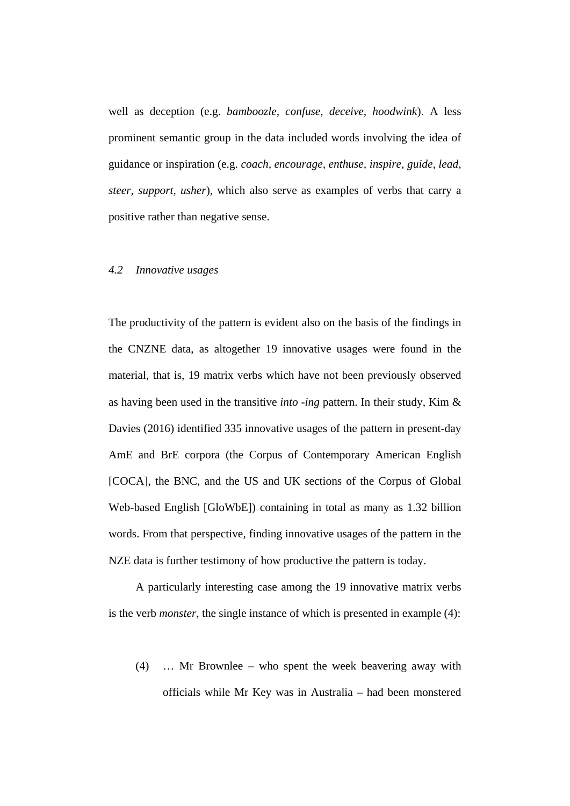well as deception (e.g. *bamboozle, confuse, deceive, hoodwink*). A less prominent semantic group in the data included words involving the idea of guidance or inspiration (e.g. *coach, encourage, enthuse, inspire, guide, lead, steer, support, usher*), which also serve as examples of verbs that carry a positive rather than negative sense.

### *4.2 Innovative usages*

The productivity of the pattern is evident also on the basis of the findings in the CNZNE data, as altogether 19 innovative usages were found in the material, that is, 19 matrix verbs which have not been previously observed as having been used in the transitive *into -ing* pattern. In their study, Kim & Davies (2016) identified 335 innovative usages of the pattern in present-day AmE and BrE corpora (the Corpus of Contemporary American English [COCA], the BNC, and the US and UK sections of the Corpus of Global Web-based English [GloWbE]) containing in total as many as 1.32 billion words. From that perspective, finding innovative usages of the pattern in the NZE data is further testimony of how productive the pattern is today.

A particularly interesting case among the 19 innovative matrix verbs is the verb *monster*, the single instance of which is presented in example (4):

(4) … Mr Brownlee – who spent the week beavering away with officials while Mr Key was in Australia – had been monstered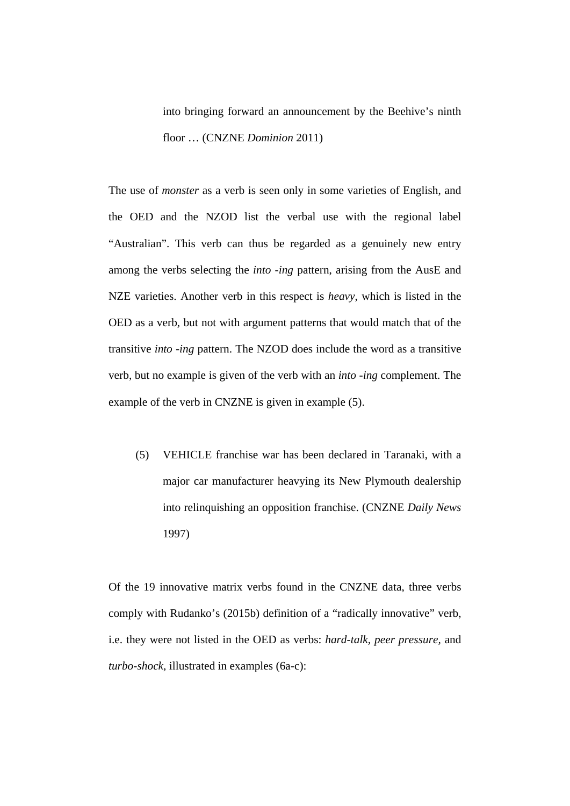into bringing forward an announcement by the Beehive's ninth floor … (CNZNE *Dominion* 2011)

The use of *monster* as a verb is seen only in some varieties of English, and the OED and the NZOD list the verbal use with the regional label "Australian". This verb can thus be regarded as a genuinely new entry among the verbs selecting the *into -ing* pattern, arising from the AusE and NZE varieties. Another verb in this respect is *heavy*, which is listed in the OED as a verb, but not with argument patterns that would match that of the transitive *into -ing* pattern. The NZOD does include the word as a transitive verb, but no example is given of the verb with an *into -ing* complement. The example of the verb in CNZNE is given in example (5).

(5) VEHICLE franchise war has been declared in Taranaki, with a major car manufacturer heavying its New Plymouth dealership into relinquishing an opposition franchise. (CNZNE *Daily News* 1997)

Of the 19 innovative matrix verbs found in the CNZNE data, three verbs comply with Rudanko's (2015b) definition of a "radically innovative" verb, i.e. they were not listed in the OED as verbs: *hard-talk, peer pressure,* and *turbo-shock*, illustrated in examples (6a-c):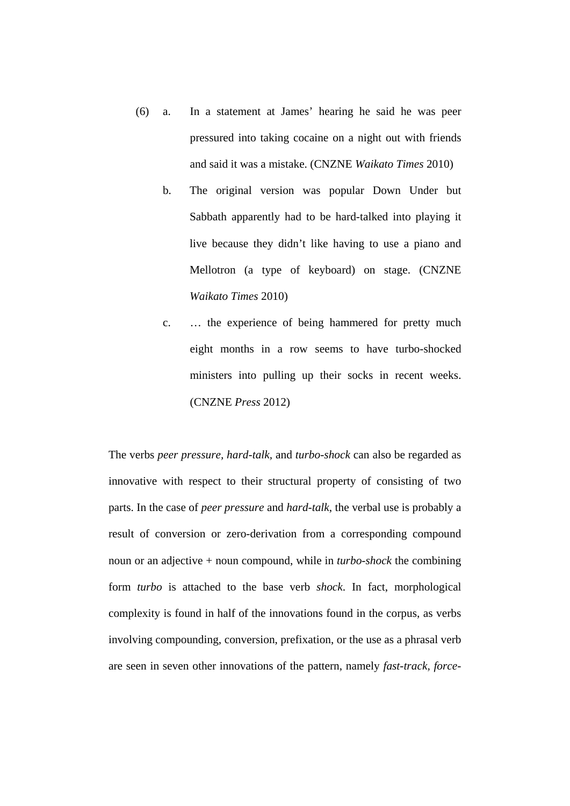- (6) a. In a statement at James' hearing he said he was peer pressured into taking cocaine on a night out with friends and said it was a mistake. (CNZNE *Waikato Times* 2010)
	- b. The original version was popular Down Under but Sabbath apparently had to be hard-talked into playing it live because they didn't like having to use a piano and Mellotron (a type of keyboard) on stage. (CNZNE *Waikato Times* 2010)
	- c. … the experience of being hammered for pretty much eight months in a row seems to have turbo-shocked ministers into pulling up their socks in recent weeks. (CNZNE *Press* 2012)

The verbs *peer pressure, hard-talk,* and *turbo-shock* can also be regarded as innovative with respect to their structural property of consisting of two parts. In the case of *peer pressure* and *hard-talk*, the verbal use is probably a result of conversion or zero-derivation from a corresponding compound noun or an adjective + noun compound, while in *turbo-shock* the combining form *turbo* is attached to the base verb *shock*. In fact, morphological complexity is found in half of the innovations found in the corpus, as verbs involving compounding, conversion, prefixation, or the use as a phrasal verb are seen in seven other innovations of the pattern, namely *fast-track, force-*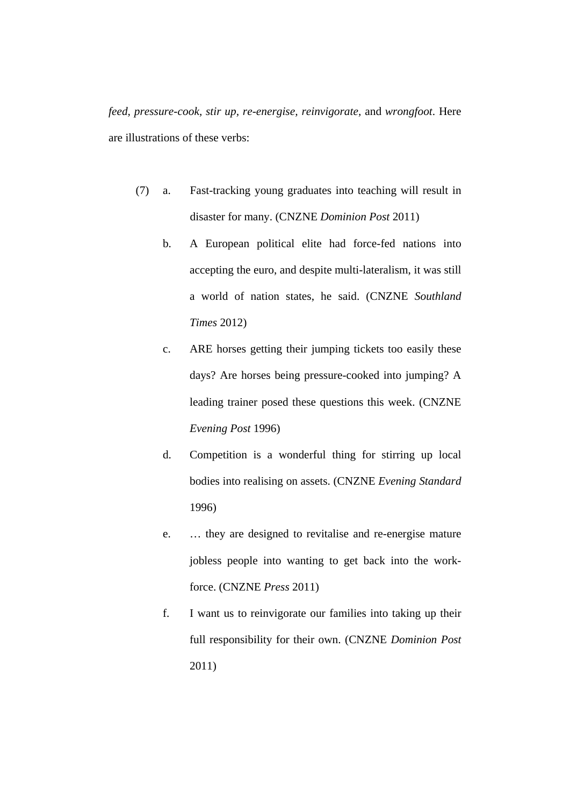*feed, pressure-cook, stir up, re-energise, reinvigorate,* and *wrongfoot*. Here are illustrations of these verbs:

- (7) a. Fast-tracking young graduates into teaching will result in disaster for many. (CNZNE *Dominion Post* 2011)
	- b. A European political elite had force-fed nations into accepting the euro, and despite multi-lateralism, it was still a world of nation states, he said. (CNZNE *Southland Times* 2012)
	- c. ARE horses getting their jumping tickets too easily these days? Are horses being pressure-cooked into jumping? A leading trainer posed these questions this week. (CNZNE *Evening Post* 1996)
	- d. Competition is a wonderful thing for stirring up local bodies into realising on assets. (CNZNE *Evening Standard* 1996)
	- e. … they are designed to revitalise and re-energise mature jobless people into wanting to get back into the workforce. (CNZNE *Press* 2011)
	- f. I want us to reinvigorate our families into taking up their full responsibility for their own. (CNZNE *Dominion Post* 2011)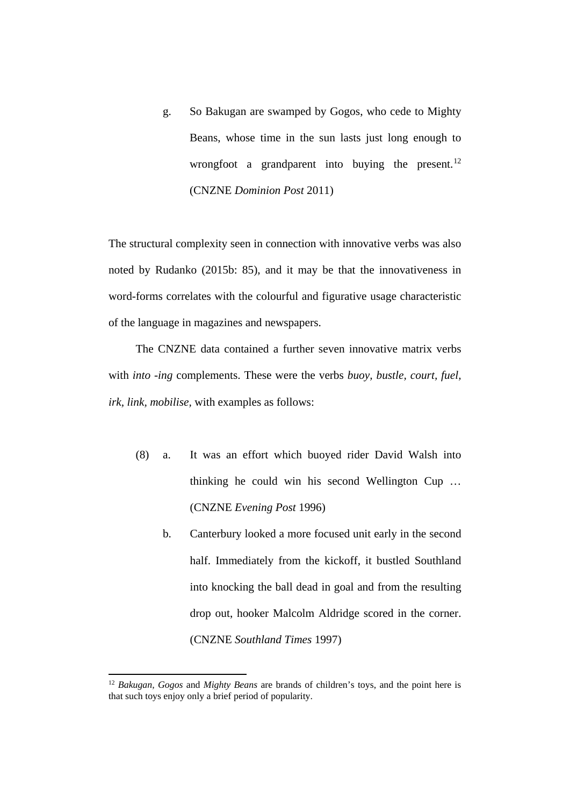g. So Bakugan are swamped by Gogos, who cede to Mighty Beans, whose time in the sun lasts just long enough to wrongfoot a grandparent into buying the present.<sup>[12](#page-21-0)</sup> (CNZNE *Dominion Post* 2011)

The structural complexity seen in connection with innovative verbs was also noted by Rudanko (2015b: 85), and it may be that the innovativeness in word-forms correlates with the colourful and figurative usage characteristic of the language in magazines and newspapers.

The CNZNE data contained a further seven innovative matrix verbs with *into -ing* complements. These were the verbs *buoy, bustle, court, fuel, irk, link, mobilise,* with examples as follows:

- (8) a. It was an effort which buoyed rider David Walsh into thinking he could win his second Wellington Cup … (CNZNE *Evening Post* 1996)
	- b. Canterbury looked a more focused unit early in the second half. Immediately from the kickoff, it bustled Southland into knocking the ball dead in goal and from the resulting drop out, hooker Malcolm Aldridge scored in the corner. (CNZNE *Southland Times* 1997)

 $\overline{\phantom{a}}$ 

<span id="page-21-0"></span><sup>12</sup> *Bakugan, Gogos* and *Mighty Beans* are brands of children's toys, and the point here is that such toys enjoy only a brief period of popularity.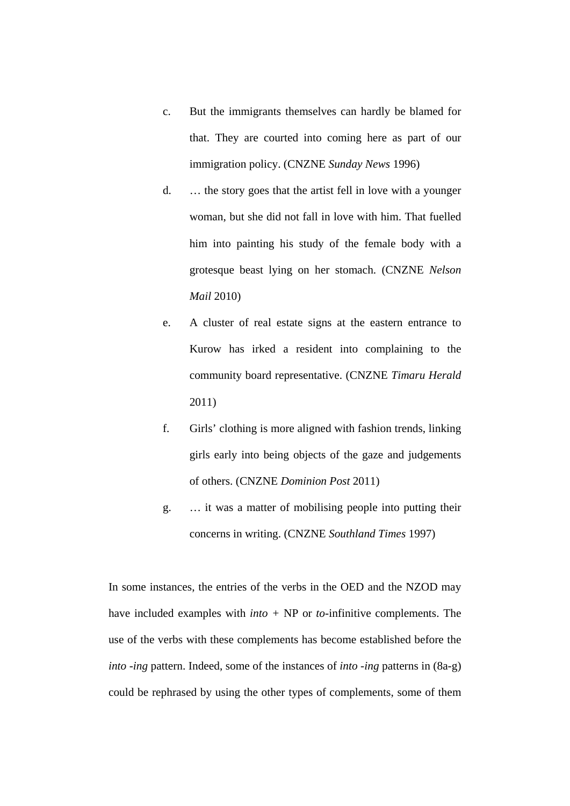- c. But the immigrants themselves can hardly be blamed for that. They are courted into coming here as part of our immigration policy. (CNZNE *Sunday News* 1996)
- d. … the story goes that the artist fell in love with a younger woman, but she did not fall in love with him. That fuelled him into painting his study of the female body with a grotesque beast lying on her stomach. (CNZNE *Nelson Mail* 2010)
- e. A cluster of real estate signs at the eastern entrance to Kurow has irked a resident into complaining to the community board representative. (CNZNE *Timaru Herald* 2011)
- f. Girls' clothing is more aligned with fashion trends, linking girls early into being objects of the gaze and judgements of others. (CNZNE *Dominion Post* 2011)
- g. … it was a matter of mobilising people into putting their concerns in writing. (CNZNE *Southland Times* 1997)

In some instances, the entries of the verbs in the OED and the NZOD may have included examples with *into +* NP or *to-*infinitive complements. The use of the verbs with these complements has become established before the *into -ing* pattern. Indeed, some of the instances of *into -ing* patterns in (8a-g) could be rephrased by using the other types of complements, some of them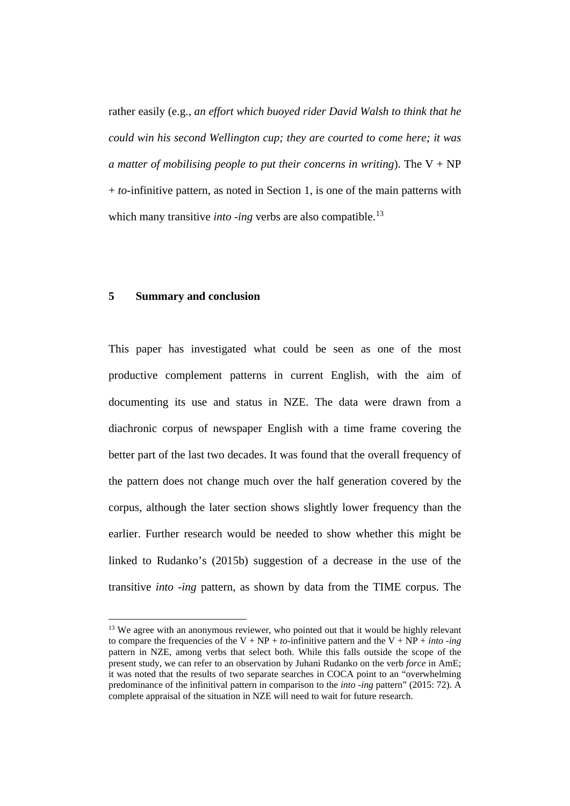rather easily (e.g., *an effort which buoyed rider David Walsh to think that he could win his second Wellington cup; they are courted to come here; it was a matter of mobilising people to put their concerns in writing*). The  $V + NP$ + *to-*infinitive pattern, as noted in Section 1, is one of the main patterns with which many transitive *into -ing* verbs are also compatible.<sup>[13](#page-23-0)</sup>

#### **5 Summary and conclusion**

l

This paper has investigated what could be seen as one of the most productive complement patterns in current English, with the aim of documenting its use and status in NZE. The data were drawn from a diachronic corpus of newspaper English with a time frame covering the better part of the last two decades. It was found that the overall frequency of the pattern does not change much over the half generation covered by the corpus, although the later section shows slightly lower frequency than the earlier. Further research would be needed to show whether this might be linked to Rudanko's (2015b) suggestion of a decrease in the use of the transitive *into -ing* pattern, as shown by data from the TIME corpus. The

<span id="page-23-0"></span><sup>&</sup>lt;sup>13</sup> We agree with an anonymous reviewer, who pointed out that it would be highly relevant to compare the frequencies of the V +  $NP$  + *to*-infinitive pattern and the V +  $NP$  + *into -ing* pattern in NZE, among verbs that select both. While this falls outside the scope of the present study, we can refer to an observation by Juhani Rudanko on the verb *force* in AmE; it was noted that the results of two separate searches in COCA point to an "overwhelming predominance of the infinitival pattern in comparison to the *into -ing* pattern" (2015: 72). A complete appraisal of the situation in NZE will need to wait for future research.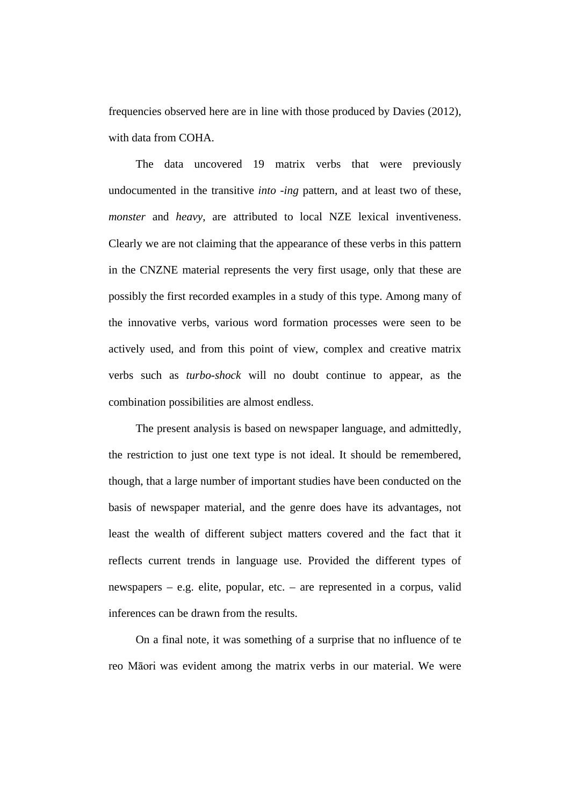frequencies observed here are in line with those produced by Davies (2012), with data from COHA.

The data uncovered 19 matrix verbs that were previously undocumented in the transitive *into -ing* pattern, and at least two of these, *monster* and *heavy*, are attributed to local NZE lexical inventiveness. Clearly we are not claiming that the appearance of these verbs in this pattern in the CNZNE material represents the very first usage, only that these are possibly the first recorded examples in a study of this type. Among many of the innovative verbs, various word formation processes were seen to be actively used, and from this point of view, complex and creative matrix verbs such as *turbo-shock* will no doubt continue to appear, as the combination possibilities are almost endless.

The present analysis is based on newspaper language, and admittedly, the restriction to just one text type is not ideal. It should be remembered, though, that a large number of important studies have been conducted on the basis of newspaper material, and the genre does have its advantages, not least the wealth of different subject matters covered and the fact that it reflects current trends in language use. Provided the different types of newspapers – e.g. elite, popular, etc. – are represented in a corpus, valid inferences can be drawn from the results.

On a final note, it was something of a surprise that no influence of te reo Māori was evident among the matrix verbs in our material. We were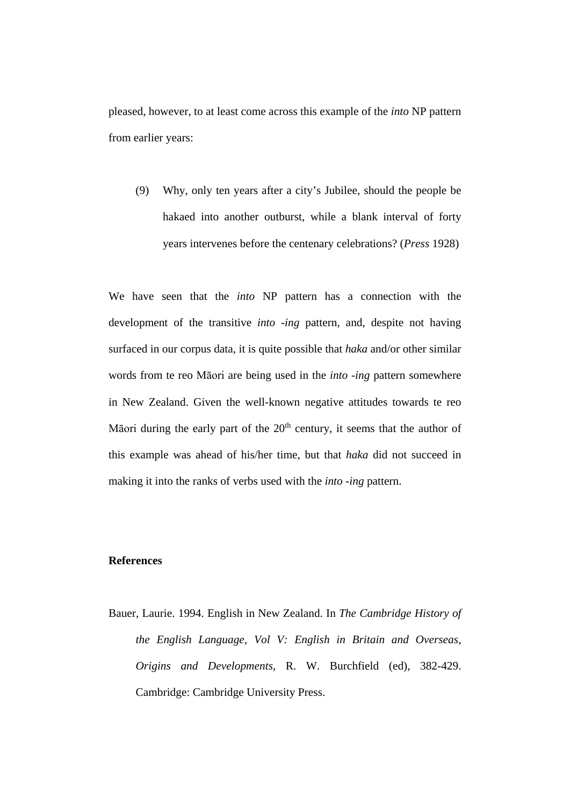pleased, however, to at least come across this example of the *into* NP pattern from earlier years:

(9) Why, only ten years after a city's Jubilee, should the people be hakaed into another outburst, while a blank interval of forty years intervenes before the centenary celebrations? (*Press* 1928)

We have seen that the *into* NP pattern has a connection with the development of the transitive *into -ing* pattern, and, despite not having surfaced in our corpus data, it is quite possible that *haka* and/or other similar words from te reo Māori are being used in the *into -ing* pattern somewhere in New Zealand. Given the well-known negative attitudes towards te reo Māori during the early part of the  $20<sup>th</sup>$  century, it seems that the author of this example was ahead of his/her time, but that *haka* did not succeed in making it into the ranks of verbs used with the *into -ing* pattern.

# **References**

Bauer, Laurie. 1994. English in New Zealand. In *The Cambridge History of the English Language, Vol V: English in Britain and Overseas, Origins and Developments*, R. W. Burchfield (ed), 382-429. Cambridge: Cambridge University Press.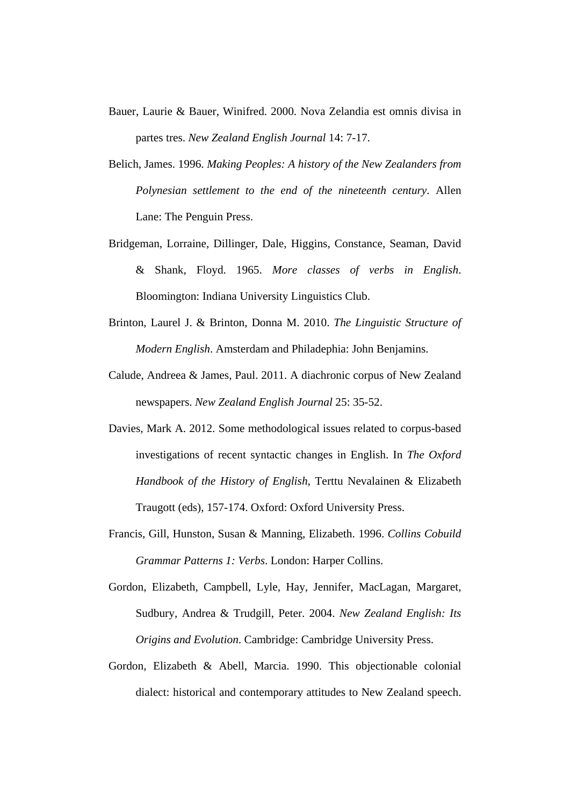- Bauer, Laurie & Bauer, Winifred. 2000. Nova Zelandia est omnis divisa in partes tres. *New Zealand English Journal* 14: 7-17.
- Belich, James. 1996. *Making Peoples: A history of the New Zealanders from Polynesian settlement to the end of the nineteenth century*. Allen Lane: The Penguin Press.
- Bridgeman, Lorraine, Dillinger, Dale, Higgins, Constance, Seaman, David & Shank, Floyd. 1965. *More classes of verbs in English*. Bloomington: Indiana University Linguistics Club.
- Brinton, Laurel J. & Brinton, Donna M. 2010. *The Linguistic Structure of Modern English*. Amsterdam and Philadephia: John Benjamins.
- Calude, Andreea & James, Paul. 2011. A diachronic corpus of New Zealand newspapers. *New Zealand English Journal* 25: 35-52.
- Davies, Mark A. 2012. Some methodological issues related to corpus-based investigations of recent syntactic changes in English. In *The Oxford Handbook of the History of English*, Terttu Nevalainen & Elizabeth Traugott (eds), 157-174. Oxford: Oxford University Press.
- Francis, Gill, Hunston, Susan & Manning, Elizabeth. 1996. *Collins Cobuild Grammar Patterns 1: Verbs*. London: Harper Collins.
- Gordon, Elizabeth, Campbell, Lyle, Hay, Jennifer, MacLagan, Margaret, Sudbury, Andrea & Trudgill, Peter. 2004. *New Zealand English: Its Origins and Evolution*. Cambridge: Cambridge University Press.
- Gordon, Elizabeth & Abell, Marcia. 1990. This objectionable colonial dialect: historical and contemporary attitudes to New Zealand speech.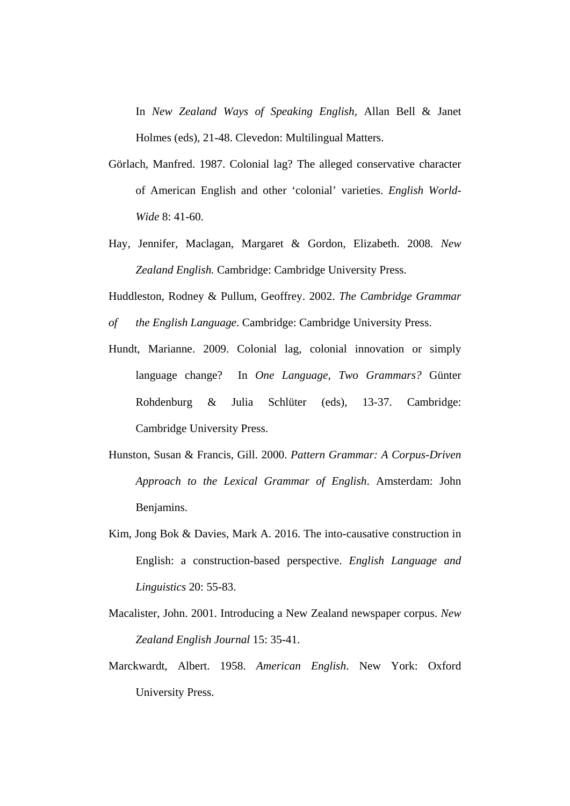In *New Zealand Ways of Speaking English,* Allan Bell & Janet Holmes (eds)*,* 21-48. Clevedon: Multilingual Matters.

- Görlach, Manfred. 1987. Colonial lag? The alleged conservative character of American English and other 'colonial' varieties. *English World-Wide* 8: 41-60.
- Hay, Jennifer, Maclagan, Margaret & Gordon, Elizabeth. 2008. *New Zealand English.* Cambridge: Cambridge University Press.

Huddleston, Rodney & Pullum, Geoffrey. 2002. *The Cambridge Grammar* 

- *of the English Language*. Cambridge: Cambridge University Press.
- Hundt, Marianne. 2009. Colonial lag, colonial innovation or simply language change? In *One Language, Two Grammars?* Günter Rohdenburg & Julia Schlüter (eds), 13-37. Cambridge: Cambridge University Press.
- Hunston, Susan & Francis, Gill. 2000. *Pattern Grammar: A Corpus-Driven Approach to the Lexical Grammar of English*. Amsterdam: John Benjamins.
- Kim, Jong Bok & Davies, Mark A. 2016. The into-causative construction in English: a construction-based perspective. *English Language and Linguistics* 20: 55-83.
- Macalister, John. 2001. Introducing a New Zealand newspaper corpus. *New Zealand English Journal* 15: 35-41.
- Marckwardt, Albert. 1958. *American English*. New York: Oxford University Press.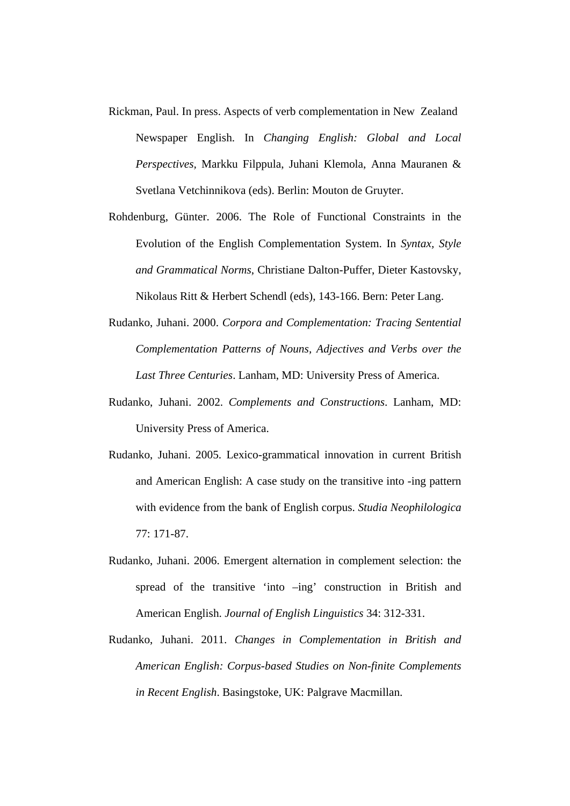- Rickman, Paul. In press. Aspects of verb complementation in New Zealand Newspaper English. In *Changing English: Global and Local Perspectives,* Markku Filppula, Juhani Klemola, Anna Mauranen & Svetlana Vetchinnikova (eds). Berlin: Mouton de Gruyter.
- Rohdenburg, Günter. 2006. The Role of Functional Constraints in the Evolution of the English Complementation System. In *Syntax, Style and Grammatical Norms*, Christiane Dalton-Puffer, Dieter Kastovsky, Nikolaus Ritt & Herbert Schendl (eds), 143-166. Bern: Peter Lang.
- Rudanko, Juhani. 2000. *Corpora and Complementation: Tracing Sentential Complementation Patterns of Nouns, Adjectives and Verbs over the Last Three Centuries*. Lanham, MD: University Press of America.
- Rudanko, Juhani. 2002. *Complements and Constructions*. Lanham, MD: University Press of America.
- Rudanko, Juhani. 2005. Lexico-grammatical innovation in current British and American English: A case study on the transitive into -ing pattern with evidence from the bank of English corpus. *Studia Neophilologica* 77: 171-87.
- Rudanko, Juhani. 2006. Emergent alternation in complement selection: the spread of the transitive 'into –ing' construction in British and American English. *Journal of English Linguistics* 34: 312-331.
- Rudanko, Juhani. 2011. *Changes in Complementation in British and American English: Corpus-based Studies on Non-finite Complements in Recent English*. Basingstoke, UK: Palgrave Macmillan.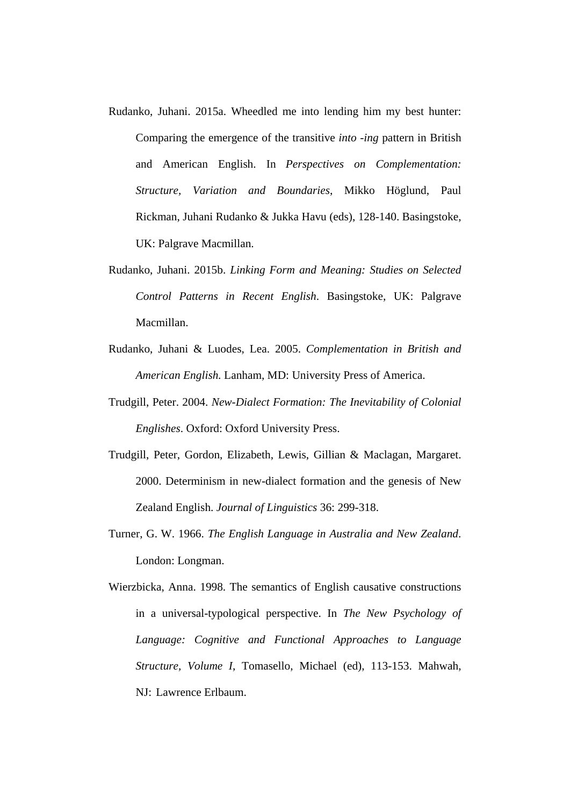- Rudanko, Juhani. 2015a. Wheedled me into lending him my best hunter: Comparing the emergence of the transitive *into -ing* pattern in British and American English. In *Perspectives on Complementation: Structure, Variation and Boundaries*, Mikko Höglund, Paul Rickman, Juhani Rudanko & Jukka Havu (eds), 128-140. Basingstoke, UK: Palgrave Macmillan.
- Rudanko, Juhani. 2015b. *Linking Form and Meaning: Studies on Selected Control Patterns in Recent English*. Basingstoke, UK: Palgrave Macmillan.
- Rudanko, Juhani & Luodes, Lea. 2005. *Complementation in British and American English.* Lanham, MD: University Press of America.
- Trudgill, Peter. 2004. *New-Dialect Formation: The Inevitability of Colonial Englishes*. Oxford: Oxford University Press.
- Trudgill, Peter, Gordon, Elizabeth, Lewis, Gillian & Maclagan, Margaret. 2000. Determinism in new-dialect formation and the genesis of New Zealand English. *Journal of Linguistics* 36: 299-318.
- Turner, G. W. 1966. *The English Language in Australia and New Zealand*. London: Longman.

Wierzbicka, Anna. 1998. The semantics of English causative constructions in a universal-typological perspective. In *The New Psychology of Language: Cognitive and Functional Approaches to Language Structure, Volume I*, Tomasello, Michael (ed), 113-153. Mahwah, NJ: Lawrence Erlbaum.